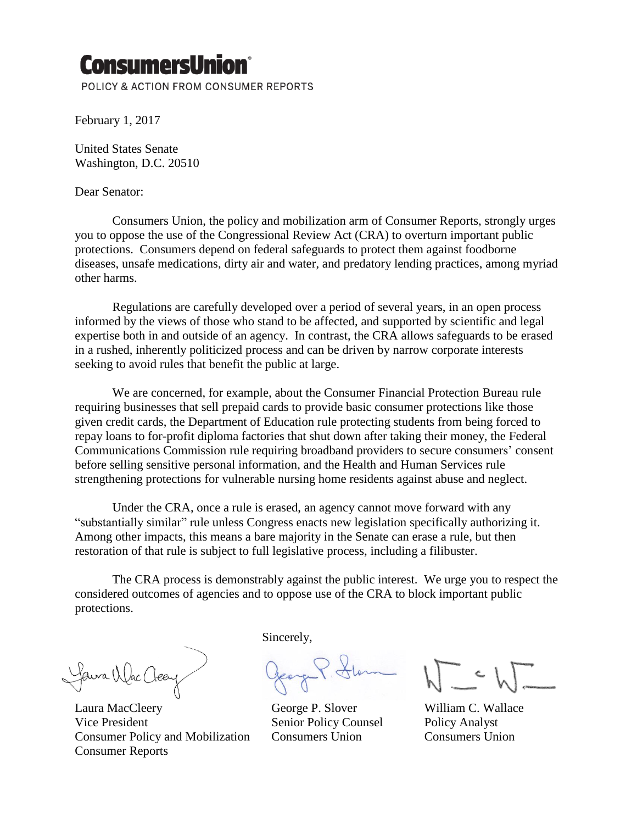## **ConsumersUnio**

POLICY & ACTION FROM CONSUMER REPORTS

February 1, 2017

United States Senate Washington, D.C. 20510

## Dear Senator:

Consumers Union, the policy and mobilization arm of Consumer Reports, strongly urges you to oppose the use of the Congressional Review Act (CRA) to overturn important public protections. Consumers depend on federal safeguards to protect them against foodborne diseases, unsafe medications, dirty air and water, and predatory lending practices, among myriad other harms.

Regulations are carefully developed over a period of several years, in an open process informed by the views of those who stand to be affected, and supported by scientific and legal expertise both in and outside of an agency. In contrast, the CRA allows safeguards to be erased in a rushed, inherently politicized process and can be driven by narrow corporate interests seeking to avoid rules that benefit the public at large.

We are concerned, for example, about the Consumer Financial Protection Bureau rule requiring businesses that sell prepaid cards to provide basic consumer protections like those given credit cards, the Department of Education rule protecting students from being forced to repay loans to for-profit diploma factories that shut down after taking their money, the Federal Communications Commission rule requiring broadband providers to secure consumers' consent before selling sensitive personal information, and the Health and Human Services rule strengthening protections for vulnerable nursing home residents against abuse and neglect.

Under the CRA, once a rule is erased, an agency cannot move forward with any "substantially similar" rule unless Congress enacts new legislation specifically authorizing it. Among other impacts, this means a bare majority in the Senate can erase a rule, but then restoration of that rule is subject to full legislative process, including a filibuster.

The CRA process is demonstrably against the public interest. We urge you to respect the considered outcomes of agencies and to oppose use of the CRA to block important public protections.

Jaura Wac Clee

Laura MacCleery George P. Slover William C. Wallace Vice President Senior Policy Counsel Policy Analyst Consumer Policy and Mobilization Consumers Union Consumers Union Consumer Reports

Sincerely,